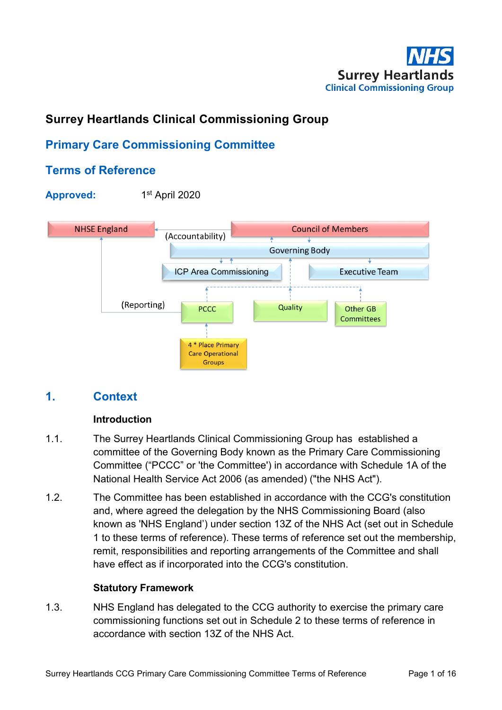

# **Surrey Heartlands Clinical Commissioning Group**

# **Primary Care Commissioning Committee**

# **Terms of Reference**



# **1. Context**

#### **Introduction**

- 1.1. The Surrey Heartlands Clinical Commissioning Group has established a committee of the Governing Body known as the Primary Care Commissioning Committee ("PCCC" or 'the Committee') in accordance with Schedule 1A of the National Health Service Act 2006 (as amended) ("the NHS Act").
- 1.2. The Committee has been established in accordance with the CCG's constitution and, where agreed the delegation by the NHS Commissioning Board (also known as 'NHS England') under section 13Z of the NHS Act (set out in Schedule 1 to these terms of reference). These terms of reference set out the membership, remit, responsibilities and reporting arrangements of the Committee and shall have effect as if incorporated into the CCG's constitution.

#### **Statutory Framework**

1.3. NHS England has delegated to the CCG authority to exercise the primary care commissioning functions set out in Schedule 2 to these terms of reference in accordance with section 13Z of the NHS Act.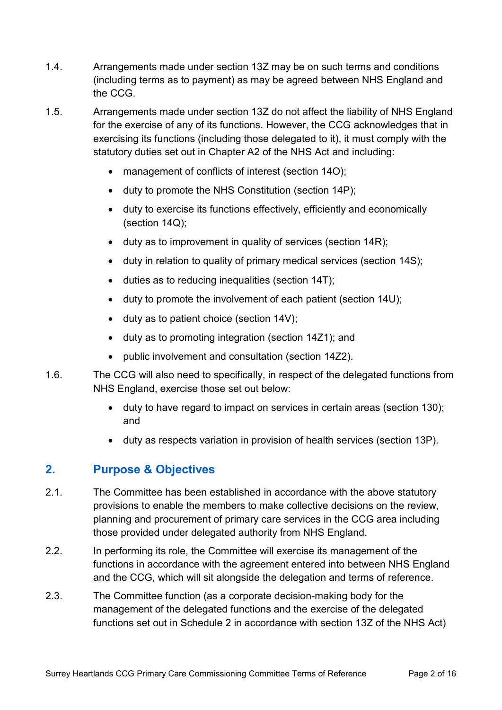- 1.4. Arrangements made under section 13Z may be on such terms and conditions (including terms as to payment) as may be agreed between NHS England and the CCG.
- 1.5. Arrangements made under section 13Z do not affect the liability of NHS England for the exercise of any of its functions. However, the CCG acknowledges that in exercising its functions (including those delegated to it), it must comply with the statutory duties set out in Chapter A2 of the NHS Act and including:
	- management of conflicts of interest (section 14O);
	- duty to promote the NHS Constitution (section 14P);
	- duty to exercise its functions effectively, efficiently and economically (section 14Q);
	- duty as to improvement in quality of services (section 14R);
	- duty in relation to quality of primary medical services (section 14S);
	- duties as to reducing inequalities (section 14T);
	- duty to promote the involvement of each patient (section 14U);
	- duty as to patient choice (section 14V);
	- duty as to promoting integration (section 14Z1); and
	- public involvement and consultation (section 14Z2).
- 1.6. The CCG will also need to specifically, in respect of the delegated functions from NHS England, exercise those set out below:
	- duty to have regard to impact on services in certain areas (section 130); and
	- duty as respects variation in provision of health services (section 13P).

# **2. Purpose & Objectives**

- 2.1. The Committee has been established in accordance with the above statutory provisions to enable the members to make collective decisions on the review, planning and procurement of primary care services in the CCG area including those provided under delegated authority from NHS England.
- 2.2. In performing its role, the Committee will exercise its management of the functions in accordance with the agreement entered into between NHS England and the CCG, which will sit alongside the delegation and terms of reference.
- 2.3. The Committee function (as a corporate decision-making body for the management of the delegated functions and the exercise of the delegated functions set out in Schedule 2 in accordance with section 13Z of the NHS Act)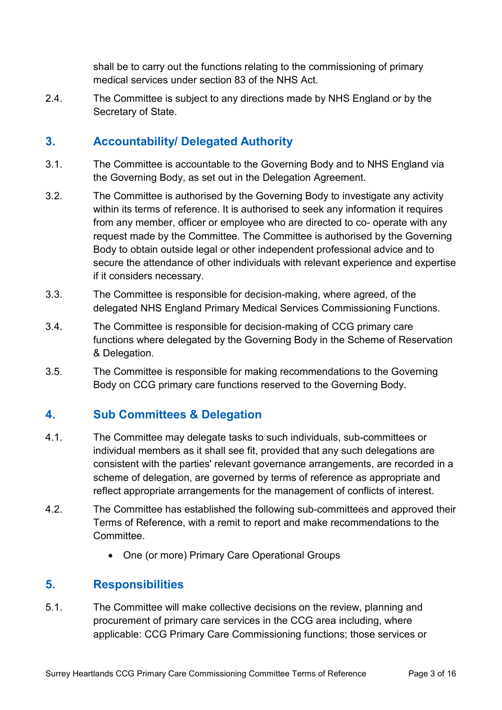shall be to carry out the functions relating to the commissioning of primary medical services under section 83 of the NHS Act.

2.4. The Committee is subject to any directions made by NHS England or by the Secretary of State.

# **3. Accountability/ Delegated Authority**

- 3.1. The Committee is accountable to the Governing Body and to NHS England via the Governing Body, as set out in the Delegation Agreement.
- 3.2. The Committee is authorised by the Governing Body to investigate any activity within its terms of reference. It is authorised to seek any information it requires from any member, officer or employee who are directed to co- operate with any request made by the Committee. The Committee is authorised by the Governing Body to obtain outside legal or other independent professional advice and to secure the attendance of other individuals with relevant experience and expertise if it considers necessary.
- 3.3. The Committee is responsible for decision-making, where agreed, of the delegated NHS England Primary Medical Services Commissioning Functions.
- 3.4. The Committee is responsible for decision-making of CCG primary care functions where delegated by the Governing Body in the Scheme of Reservation & Delegation.
- 3.5. The Committee is responsible for making recommendations to the Governing Body on CCG primary care functions reserved to the Governing Body.

# **4. Sub Committees & Delegation**

- 4.1. The Committee may delegate tasks to such individuals, sub-committees or individual members as it shall see fit, provided that any such delegations are consistent with the parties' relevant governance arrangements, are recorded in a scheme of delegation, are governed by terms of reference as appropriate and reflect appropriate arrangements for the management of conflicts of interest.
- 4.2. The Committee has established the following sub-committees and approved their Terms of Reference, with a remit to report and make recommendations to the **Committee.** 
	- One (or more) Primary Care Operational Groups

# **5. Responsibilities**

5.1. The Committee will make collective decisions on the review, planning and procurement of primary care services in the CCG area including, where applicable: CCG Primary Care Commissioning functions; those services or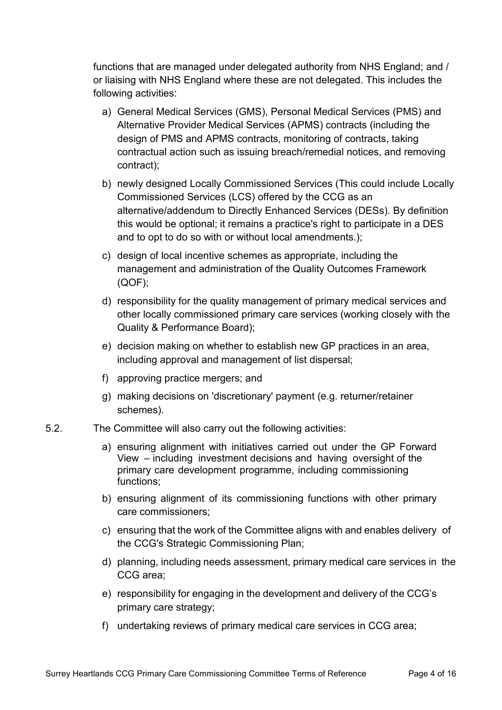functions that are managed under delegated authority from NHS England; and / or liaising with NHS England where these are not delegated. This includes the following activities:

- a) General Medical Services (GMS), Personal Medical Services (PMS) and Alternative Provider Medical Services (APMS) contracts (including the design of PMS and APMS contracts, monitoring of contracts, taking contractual action such as issuing breach/remedial notices, and removing contract);
- b) newly designed Locally Commissioned Services (This could include Locally Commissioned Services (LCS) offered by the CCG as an alternative/addendum to Directly Enhanced Services (DESs). By definition this would be optional; it remains a practice's right to participate in a DES and to opt to do so with or without local amendments.);
- c) design of local incentive schemes as appropriate, including the management and administration of the Quality Outcomes Framework (QOF);
- d) responsibility for the quality management of primary medical services and other locally commissioned primary care services (working closely with the Quality & Performance Board);
- e) decision making on whether to establish new GP practices in an area, including approval and management of list dispersal;
- f) approving practice mergers; and
- g) making decisions on 'discretionary' payment (e.g. returner/retainer schemes).
- 5.2. The Committee will also carry out the following activities:
	- a) ensuring alignment with initiatives carried out under the GP Forward View – including investment decisions and having oversight of the primary care development programme, including commissioning functions;
	- b) ensuring alignment of its commissioning functions with other primary care commissioners;
	- c) ensuring that the work of the Committee aligns with and enables delivery of the CCG's Strategic Commissioning Plan;
	- d) planning, including needs assessment, primary medical care services in the CCG area;
	- e) responsibility for engaging in the development and delivery of the CCG's primary care strategy;
	- f) undertaking reviews of primary medical care services in CCG area;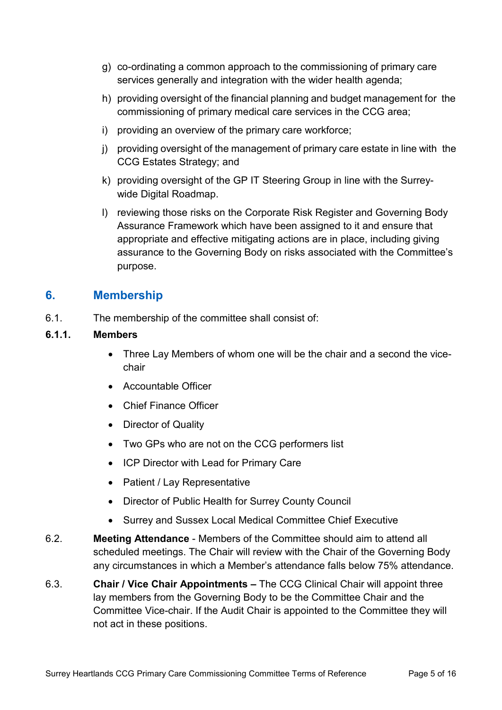- g) co-ordinating a common approach to the commissioning of primary care services generally and integration with the wider health agenda;
- h) providing oversight of the financial planning and budget management for the commissioning of primary medical care services in the CCG area;
- i) providing an overview of the primary care workforce;
- j) providing oversight of the management of primary care estate in line with the CCG Estates Strategy; and
- k) providing oversight of the GP IT Steering Group in line with the Surreywide Digital Roadmap.
- l) reviewing those risks on the Corporate Risk Register and Governing Body Assurance Framework which have been assigned to it and ensure that appropriate and effective mitigating actions are in place, including giving assurance to the Governing Body on risks associated with the Committee's purpose.

#### **6. Membership**

6.1. The membership of the committee shall consist of:

#### **6.1.1. Members**

- Three Lay Members of whom one will be the chair and a second the vicechair
- Accountable Officer
- Chief Finance Officer
- Director of Quality
- Two GPs who are not on the CCG performers list
- ICP Director with Lead for Primary Care
- Patient / Lay Representative
- Director of Public Health for Surrey County Council
- Surrey and Sussex Local Medical Committee Chief Executive
- 6.2. **Meeting Attendance** Members of the Committee should aim to attend all scheduled meetings. The Chair will review with the Chair of the Governing Body any circumstances in which a Member's attendance falls below 75% attendance.
- 6.3. **Chair / Vice Chair Appointments –** The CCG Clinical Chair will appoint three lay members from the Governing Body to be the Committee Chair and the Committee Vice-chair. If the Audit Chair is appointed to the Committee they will not act in these positions.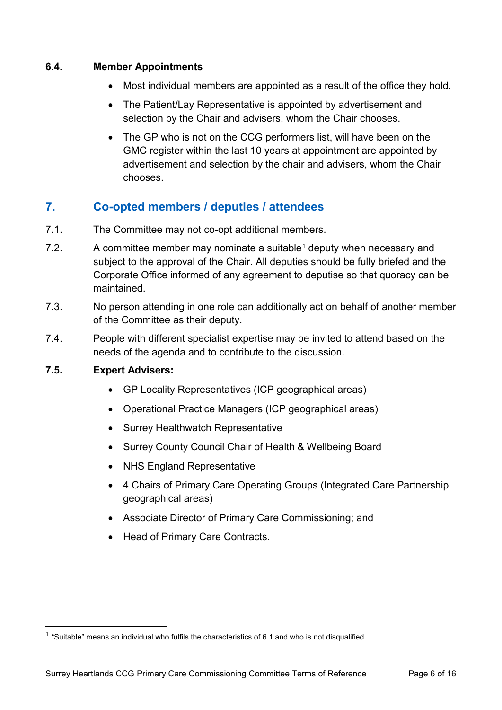#### **6.4. Member Appointments**

- Most individual members are appointed as a result of the office they hold.
- The Patient/Lay Representative is appointed by advertisement and selection by the Chair and advisers, whom the Chair chooses.
- The GP who is not on the CCG performers list, will have been on the GMC register within the last 10 years at appointment are appointed by advertisement and selection by the chair and advisers, whom the Chair chooses.

# **7. Co-opted members / deputies / attendees**

- 7.1. The Committee may not co-opt additional members.
- 7.2. A committee member may nominate a suitable<sup>[1](#page-5-0)</sup> deputy when necessary and subject to the approval of the Chair. All deputies should be fully briefed and the Corporate Office informed of any agreement to deputise so that quoracy can be maintained.
- 7.3. No person attending in one role can additionally act on behalf of another member of the Committee as their deputy.
- 7.4. People with different specialist expertise may be invited to attend based on the needs of the agenda and to contribute to the discussion.

#### **7.5. Expert Advisers:**

- GP Locality Representatives (ICP geographical areas)
- Operational Practice Managers (ICP geographical areas)
- Surrey Healthwatch Representative
- Surrey County Council Chair of Health & Wellbeing Board
- NHS England Representative
- 4 Chairs of Primary Care Operating Groups (Integrated Care Partnership geographical areas)
- Associate Director of Primary Care Commissioning; and
- Head of Primary Care Contracts.

<span id="page-5-0"></span> $1$  "Suitable" means an individual who fulfils the characteristics of 6.1 and who is not disqualified.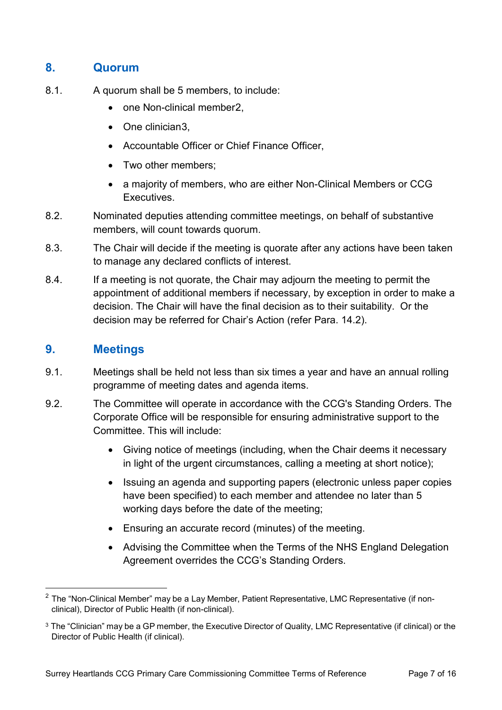## **8. Quorum**

- 8.1. A quorum shall be 5 members, to include:
	- one Non-clinical member[2](#page-6-0),
	- One clinician[3](#page-6-1).
	- Accountable Officer or Chief Finance Officer,
	- Two other members;
	- a majority of members, who are either Non-Clinical Members or CCG Executives.
- 8.2. Nominated deputies attending committee meetings, on behalf of substantive members, will count towards quorum.
- 8.3. The Chair will decide if the meeting is quorate after any actions have been taken to manage any declared conflicts of interest.
- 8.4. If a meeting is not quorate, the Chair may adjourn the meeting to permit the appointment of additional members if necessary, by exception in order to make a decision. The Chair will have the final decision as to their suitability. Or the decision may be referred for Chair's Action (refer Para. 14.2).

# **9. Meetings**

- 9.1. Meetings shall be held not less than six times a year and have an annual rolling programme of meeting dates and agenda items.
- 9.2. The Committee will operate in accordance with the CCG's Standing Orders. The Corporate Office will be responsible for ensuring administrative support to the Committee. This will include:
	- Giving notice of meetings (including, when the Chair deems it necessary in light of the urgent circumstances, calling a meeting at short notice);
	- Issuing an agenda and supporting papers (electronic unless paper copies have been specified) to each member and attendee no later than 5 working days before the date of the meeting;
	- Ensuring an accurate record (minutes) of the meeting.
	- Advising the Committee when the Terms of the NHS England Delegation Agreement overrides the CCG's Standing Orders.

<span id="page-6-0"></span><sup>&</sup>lt;sup>2</sup> The "Non-Clinical Member" may be a Lay Member, Patient Representative, LMC Representative (if nonclinical), Director of Public Health (if non-clinical).

<span id="page-6-1"></span><sup>&</sup>lt;sup>3</sup> The "Clinician" may be a GP member, the Executive Director of Quality, LMC Representative (if clinical) or the Director of Public Health (if clinical).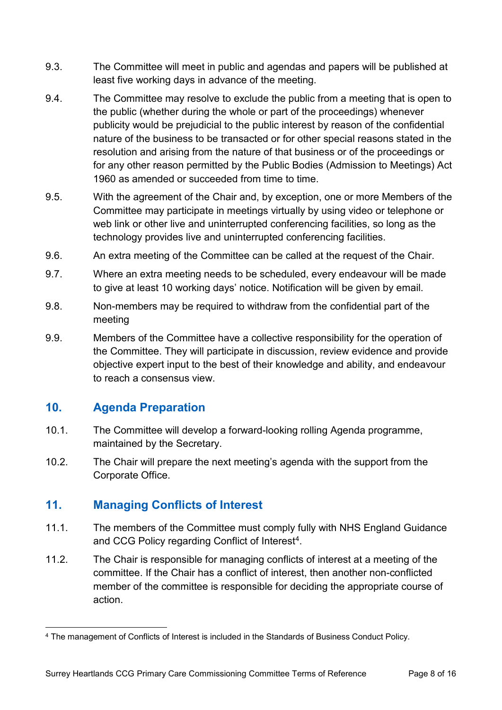- 9.3. The Committee will meet in public and agendas and papers will be published at least five working days in advance of the meeting.
- 9.4. The Committee may resolve to exclude the public from a meeting that is open to the public (whether during the whole or part of the proceedings) whenever publicity would be prejudicial to the public interest by reason of the confidential nature of the business to be transacted or for other special reasons stated in the resolution and arising from the nature of that business or of the proceedings or for any other reason permitted by the Public Bodies (Admission to Meetings) Act 1960 as amended or succeeded from time to time.
- 9.5. With the agreement of the Chair and, by exception, one or more Members of the Committee may participate in meetings virtually by using video or telephone or web link or other live and uninterrupted conferencing facilities, so long as the technology provides live and uninterrupted conferencing facilities.
- 9.6. An extra meeting of the Committee can be called at the request of the Chair.
- 9.7. Where an extra meeting needs to be scheduled, every endeavour will be made to give at least 10 working days' notice. Notification will be given by email.
- 9.8. Non-members may be required to withdraw from the confidential part of the meeting
- 9.9. Members of the Committee have a collective responsibility for the operation of the Committee. They will participate in discussion, review evidence and provide objective expert input to the best of their knowledge and ability, and endeavour to reach a consensus view.

# **10. Agenda Preparation**

- 10.1. The Committee will develop a forward-looking rolling Agenda programme, maintained by the Secretary.
- 10.2. The Chair will prepare the next meeting's agenda with the support from the Corporate Office.

# **11. Managing Conflicts of Interest**

- 11.1. The members of the Committee must comply fully with NHS England Guidance and CCG Policy regarding Conflict of Interest<sup>[4](#page-7-0)</sup>.
- 11.2. The Chair is responsible for managing conflicts of interest at a meeting of the committee. If the Chair has a conflict of interest, then another non-conflicted member of the committee is responsible for deciding the appropriate course of action.

<span id="page-7-0"></span> <sup>4</sup> The management of Conflicts of Interest is included in the Standards of Business Conduct Policy.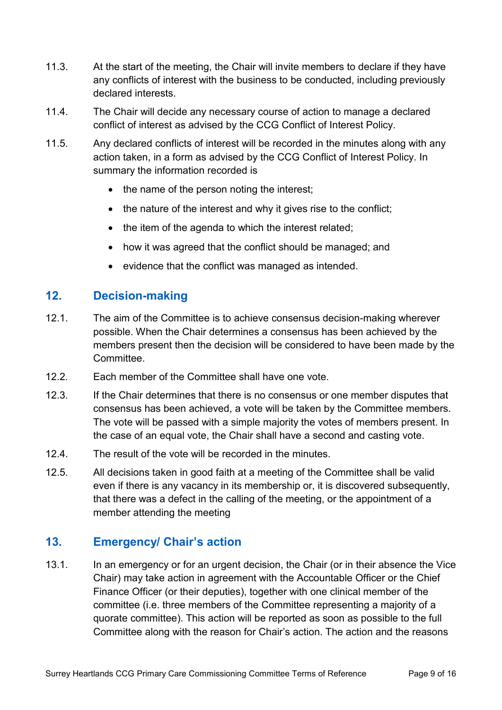- 11.3. At the start of the meeting, the Chair will invite members to declare if they have any conflicts of interest with the business to be conducted, including previously declared interests.
- 11.4. The Chair will decide any necessary course of action to manage a declared conflict of interest as advised by the CCG Conflict of Interest Policy.
- 11.5. Any declared conflicts of interest will be recorded in the minutes along with any action taken, in a form as advised by the CCG Conflict of Interest Policy. In summary the information recorded is
	- the name of the person noting the interest:
	- the nature of the interest and why it gives rise to the conflict;
	- the item of the agenda to which the interest related;
	- how it was agreed that the conflict should be managed; and
	- evidence that the conflict was managed as intended.

## **12. Decision-making**

- 12.1. The aim of the Committee is to achieve consensus decision-making wherever possible. When the Chair determines a consensus has been achieved by the members present then the decision will be considered to have been made by the **Committee.**
- 12.2. Each member of the Committee shall have one vote.
- 12.3. If the Chair determines that there is no consensus or one member disputes that consensus has been achieved, a vote will be taken by the Committee members. The vote will be passed with a simple majority the votes of members present. In the case of an equal vote, the Chair shall have a second and casting vote.
- 12.4. The result of the vote will be recorded in the minutes.
- 12.5. All decisions taken in good faith at a meeting of the Committee shall be valid even if there is any vacancy in its membership or, it is discovered subsequently, that there was a defect in the calling of the meeting, or the appointment of a member attending the meeting

#### **13. Emergency/ Chair's action**

13.1. In an emergency or for an urgent decision, the Chair (or in their absence the Vice Chair) may take action in agreement with the Accountable Officer or the Chief Finance Officer (or their deputies), together with one clinical member of the committee (i.e. three members of the Committee representing a majority of a quorate committee). This action will be reported as soon as possible to the full Committee along with the reason for Chair's action. The action and the reasons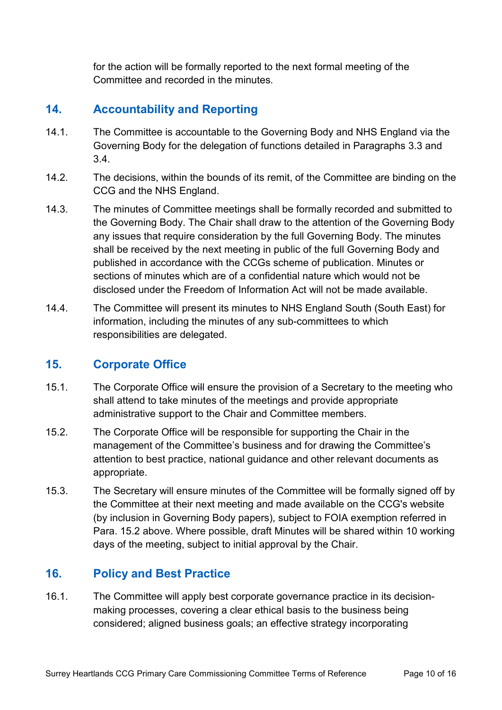for the action will be formally reported to the next formal meeting of the Committee and recorded in the minutes.

## **14. Accountability and Reporting**

- 14.1. The Committee is accountable to the Governing Body and NHS England via the Governing Body for the delegation of functions detailed in Paragraphs 3.3 and 3.4.
- 14.2. The decisions, within the bounds of its remit, of the Committee are binding on the CCG and the NHS England.
- 14.3. The minutes of Committee meetings shall be formally recorded and submitted to the Governing Body. The Chair shall draw to the attention of the Governing Body any issues that require consideration by the full Governing Body. The minutes shall be received by the next meeting in public of the full Governing Body and published in accordance with the CCGs scheme of publication. Minutes or sections of minutes which are of a confidential nature which would not be disclosed under the Freedom of Information Act will not be made available.
- 14.4. The Committee will present its minutes to NHS England South (South East) for information, including the minutes of any sub-committees to which responsibilities are delegated.

#### **15. Corporate Office**

- 15.1. The Corporate Office will ensure the provision of a Secretary to the meeting who shall attend to take minutes of the meetings and provide appropriate administrative support to the Chair and Committee members.
- 15.2. The Corporate Office will be responsible for supporting the Chair in the management of the Committee's business and for drawing the Committee's attention to best practice, national guidance and other relevant documents as appropriate.
- 15.3. The Secretary will ensure minutes of the Committee will be formally signed off by the Committee at their next meeting and made available on the CCG's website (by inclusion in Governing Body papers), subject to FOIA exemption referred in Para. 15.2 above. Where possible, draft Minutes will be shared within 10 working days of the meeting, subject to initial approval by the Chair.

# **16. Policy and Best Practice**

16.1. The Committee will apply best corporate governance practice in its decisionmaking processes, covering a clear ethical basis to the business being considered; aligned business goals; an effective strategy incorporating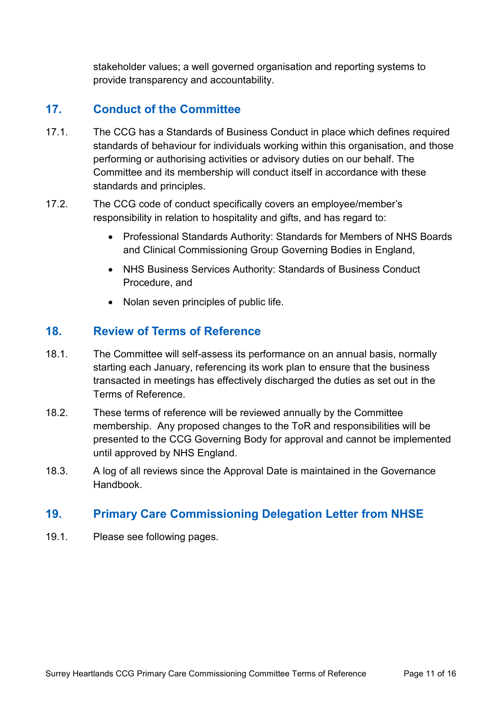stakeholder values; a well governed organisation and reporting systems to provide transparency and accountability.

## **17. Conduct of the Committee**

- 17.1. The CCG has a Standards of Business Conduct in place which defines required standards of behaviour for individuals working within this organisation, and those performing or authorising activities or advisory duties on our behalf. The Committee and its membership will conduct itself in accordance with these standards and principles.
- 17.2. The CCG code of conduct specifically covers an employee/member's responsibility in relation to hospitality and gifts, and has regard to:
	- Professional Standards Authority: Standards for Members of NHS Boards and Clinical Commissioning Group Governing Bodies in England,
	- NHS Business Services Authority: Standards of Business Conduct Procedure, and
	- Nolan seven principles of public life.

#### **18. Review of Terms of Reference**

- 18.1. The Committee will self-assess its performance on an annual basis, normally starting each January, referencing its work plan to ensure that the business transacted in meetings has effectively discharged the duties as set out in the Terms of Reference.
- 18.2. These terms of reference will be reviewed annually by the Committee membership. Any proposed changes to the ToR and responsibilities will be presented to the CCG Governing Body for approval and cannot be implemented until approved by NHS England.
- 18.3. A log of all reviews since the Approval Date is maintained in the Governance Handbook.

#### **19. Primary Care Commissioning Delegation Letter from NHSE**

19.1. Please see following pages.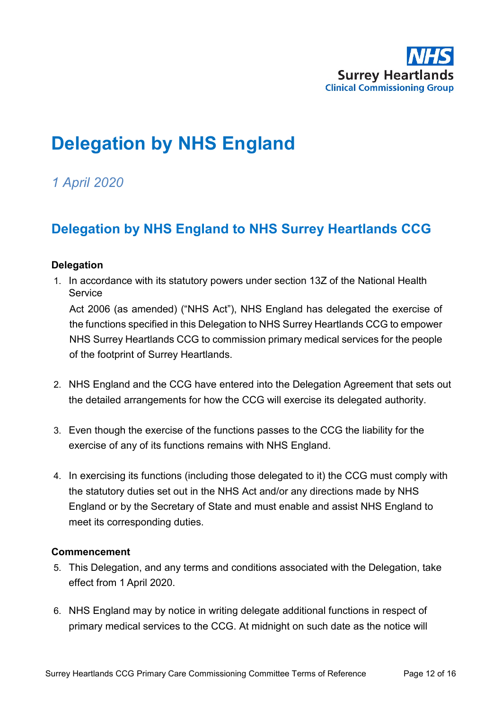

# **Delegation by NHS England**

# *1 April 2020*

# **Delegation by NHS England to NHS Surrey Heartlands CCG**

#### **Delegation**

1. In accordance with its statutory powers under section 13Z of the National Health **Service** 

Act 2006 (as amended) ("NHS Act"), NHS England has delegated the exercise of the functions specified in this Delegation to NHS Surrey Heartlands CCG to empower NHS Surrey Heartlands CCG to commission primary medical services for the people of the footprint of Surrey Heartlands.

- 2. NHS England and the CCG have entered into the Delegation Agreement that sets out the detailed arrangements for how the CCG will exercise its delegated authority.
- 3. Even though the exercise of the functions passes to the CCG the liability for the exercise of any of its functions remains with NHS England.
- 4. In exercising its functions (including those delegated to it) the CCG must comply with the statutory duties set out in the NHS Act and/or any directions made by NHS England or by the Secretary of State and must enable and assist NHS England to meet its corresponding duties.

#### **Commencement**

- 5. This Delegation, and any terms and conditions associated with the Delegation, take effect from 1 April 2020.
- 6. NHS England may by notice in writing delegate additional functions in respect of primary medical services to the CCG. At midnight on such date as the notice will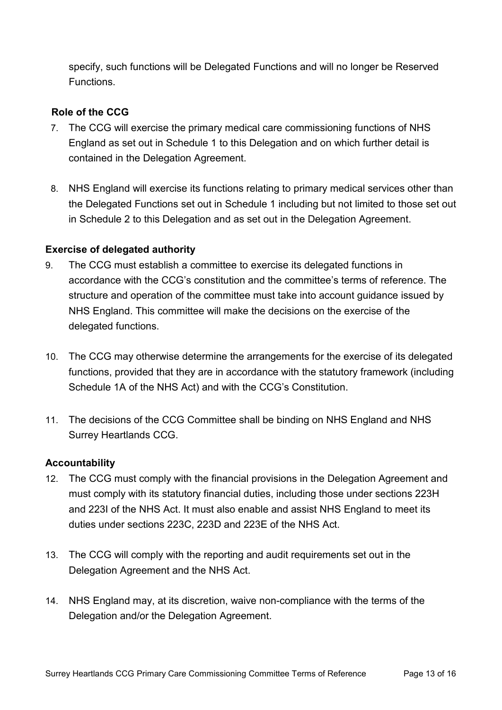specify, such functions will be Delegated Functions and will no longer be Reserved Functions.

#### **Role of the CCG**

- 7. The CCG will exercise the primary medical care commissioning functions of NHS England as set out in Schedule 1 to this Delegation and on which further detail is contained in the Delegation Agreement.
- 8. NHS England will exercise its functions relating to primary medical services other than the Delegated Functions set out in Schedule 1 including but not limited to those set out in Schedule 2 to this Delegation and as set out in the Delegation Agreement.

#### **Exercise of delegated authority**

- 9. The CCG must establish a committee to exercise its delegated functions in accordance with the CCG's constitution and the committee's terms of reference. The structure and operation of the committee must take into account guidance issued by NHS England. This committee will make the decisions on the exercise of the delegated functions.
- 10. The CCG may otherwise determine the arrangements for the exercise of its delegated functions, provided that they are in accordance with the statutory framework (including Schedule 1A of the NHS Act) and with the CCG's Constitution.
- 11. The decisions of the CCG Committee shall be binding on NHS England and NHS Surrey Heartlands CCG.

#### **Accountability**

- 12. The CCG must comply with the financial provisions in the Delegation Agreement and must comply with its statutory financial duties, including those under sections 223H and 223I of the NHS Act. It must also enable and assist NHS England to meet its duties under sections 223C, 223D and 223E of the NHS Act.
- 13. The CCG will comply with the reporting and audit requirements set out in the Delegation Agreement and the NHS Act.
- 14. NHS England may, at its discretion, waive non-compliance with the terms of the Delegation and/or the Delegation Agreement.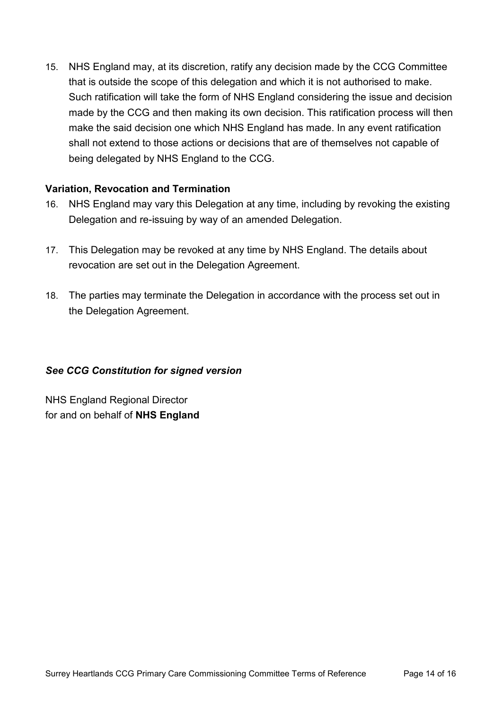15. NHS England may, at its discretion, ratify any decision made by the CCG Committee that is outside the scope of this delegation and which it is not authorised to make. Such ratification will take the form of NHS England considering the issue and decision made by the CCG and then making its own decision. This ratification process will then make the said decision one which NHS England has made. In any event ratification shall not extend to those actions or decisions that are of themselves not capable of being delegated by NHS England to the CCG.

#### **Variation, Revocation and Termination**

- 16. NHS England may vary this Delegation at any time, including by revoking the existing Delegation and re-issuing by way of an amended Delegation.
- 17. This Delegation may be revoked at any time by NHS England. The details about revocation are set out in the Delegation Agreement.
- 18. The parties may terminate the Delegation in accordance with the process set out in the Delegation Agreement.

#### *See CCG Constitution for signed version*

NHS England Regional Director for and on behalf of **NHS England**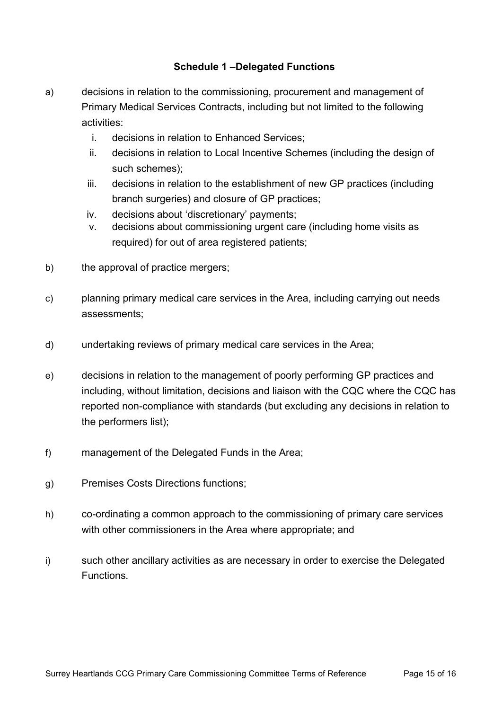#### **Schedule 1 –Delegated Functions**

- a) decisions in relation to the commissioning, procurement and management of Primary Medical Services Contracts, including but not limited to the following activities:
	- i. decisions in relation to Enhanced Services;
	- ii. decisions in relation to Local Incentive Schemes (including the design of such schemes);
	- iii. decisions in relation to the establishment of new GP practices (including branch surgeries) and closure of GP practices;
	- iv. decisions about 'discretionary' payments;
	- v. decisions about commissioning urgent care (including home visits as required) for out of area registered patients;
- b) the approval of practice mergers;
- c) planning primary medical care services in the Area, including carrying out needs assessments;
- d) undertaking reviews of primary medical care services in the Area;
- e) decisions in relation to the management of poorly performing GP practices and including, without limitation, decisions and liaison with the CQC where the CQC has reported non-compliance with standards (but excluding any decisions in relation to the performers list);
- f) management of the Delegated Funds in the Area;
- g) Premises Costs Directions functions;
- h) co-ordinating a common approach to the commissioning of primary care services with other commissioners in the Area where appropriate; and
- i) such other ancillary activities as are necessary in order to exercise the Delegated Functions.